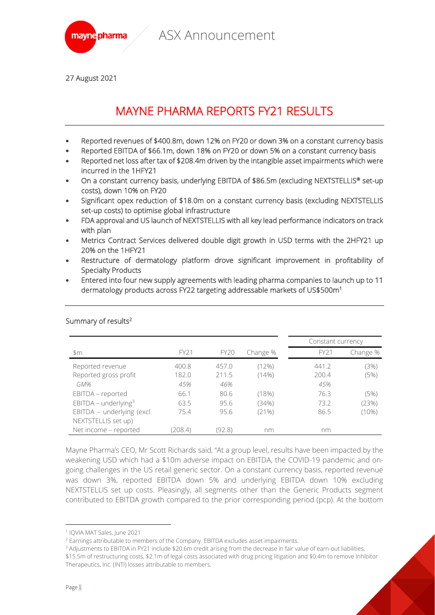

27 August 2021

# MAYNE PHARMA REPORTS FY21 RESULTS

- Reported revenues of \$400.8m, down 12% on FY20 or down 3% on a constant currency basis
- Reported EBITDA of \$66.1m, down 18% on FY20 or down 5% on a constant currency basis
- Reported net loss after tax of \$208.4m driven by the intangible asset impairments which were incurred in the 1HFY21
- On a constant currency basis, underlying EBITDA of \$86.5m (excluding NEXTSTELLIS® set-up costs), down 10% on FY20
- Significant opex reduction of \$18.0m on a constant currency basis (excluding NEXTSTELLIS set-up costs) to optimise global infrastructure
- FDA approval and US launch of NEXTSTELLIS with all key lead performance indicators on track with plan
- Metrics Contract Services delivered double digit growth in USD terms with the 2HFY21 up 20% on the 1HFY21
- Restructure of dermatology platform drove significant improvement in profitability of Specialty Products
- Entered into four new supply agreements with leading pharma companies to launch up to 11 dermatology products across FY22 targeting addressable markets of US\$500m<sup>1</sup>

|                                    |         |             |          | Constant currency |          |
|------------------------------------|---------|-------------|----------|-------------------|----------|
| $\mathfrak{m}$                     | FY21    | <b>FY20</b> | Change % | FY21              | Change % |
| Reported revenue                   | 400.8   | 457.0       | (12%)    | 441.2             | (3%)     |
| Reported gross profit              | 182.0   | 211.5       | $(14\%)$ | 200.4             | (5%)     |
| GM%                                | 45%     | 46%         |          | 45%               |          |
| EBITDA - reported                  | 66.1    | 80.6        | (18%)    | 76.3              | (5%)     |
| $EBITDA$ – underlying <sup>3</sup> | 63.5    | 95.6        | (34%)    | 73.2              | (23%)    |
| EBITDA - underlying (excl.         | 75.4    | 95.6        | (21%)    | 86.5              | $(10\%)$ |
| NEXTSTELLIS set up)                |         |             |          |                   |          |
| Net income - reported              | (208.4) | (92.8)      | nm       | nm                |          |

#### Summary of results<sup>2</sup>

Mayne Pharma's CEO, Mr Scott Richards said, "At a group level, results have been impacted by the weakening USD which had a \$10m adverse impact on EBITDA, the COVID-19 pandemic and ongoing challenges in the US retail generic sector. On a constant currency basis, reported revenue was down 3%, reported EBITDA down 5% and underlying EBITDA down 10% excluding NEXTSTELLIS set up costs. Pleasingly, all segments other than the Generic Products segment contributed to EBITDA growth compared to the prior corresponding period (pcp). At the bottom

<sup>3</sup> Adjustments to EBITDA in FY21 include \$20.6m credit arising from the decrease in fair value of earn-out liabilities, \$15.5m of restructuring costs, \$2.1m of legal costs associated with drug pricing litigation and \$0.4m to remove Inhibitor Therapeutics, Inc. (INTI) losses attributable to members.

<sup>1</sup> IQVIA MAT Sales, June 2021

<sup>&</sup>lt;sup>2</sup> Earnings attributable to members of the Company. EBITDA excludes asset impairments.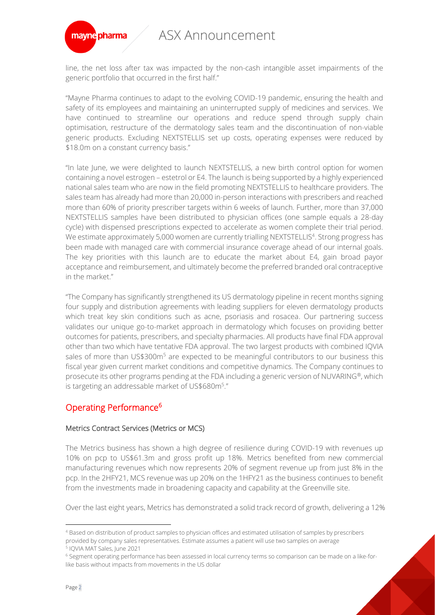

line, the net loss after tax was impacted by the non-cash intangible asset impairments of the generic portfolio that occurred in the first half."

"Mayne Pharma continues to adapt to the evolving COVID-19 pandemic, ensuring the health and safety of its employees and maintaining an uninterrupted supply of medicines and services. We have continued to streamline our operations and reduce spend through supply chain optimisation, restructure of the dermatology sales team and the discontinuation of non-viable generic products. Excluding NEXTSTELLIS set up costs, operating expenses were reduced by \$18.0m on a constant currency basis."

"In late June, we were delighted to launch NEXTSTELLIS, a new birth control option for women containing a novel estrogen – estetrol or E4. The launch is being supported by a highly experienced national sales team who are now in the field promoting NEXTSTELLIS to healthcare providers. The sales team has already had more than 20,000 in-person interactions with prescribers and reached more than 60% of priority prescriber targets within 6 weeks of launch. Further, more than 37,000 NEXTSTELLIS samples have been distributed to physician offices (one sample equals a 28-day cycle) with dispensed prescriptions expected to accelerate as women complete their trial period. We estimate approximately 5,000 women are currently trialling NEXTSTELLIS<sup>4</sup>. Strong progress has been made with managed care with commercial insurance coverage ahead of our internal goals. The key priorities with this launch are to educate the market about E4, gain broad payor acceptance and reimbursement, and ultimately become the preferred branded oral contraceptive in the market."

"The Company has significantly strengthened its US dermatology pipeline in recent months signing four supply and distribution agreements with leading suppliers for eleven dermatology products which treat key skin conditions such as acne, psoriasis and rosacea. Our partnering success validates our unique go-to-market approach in dermatology which focuses on providing better outcomes for patients, prescribers, and specialty pharmacies. All products have final FDA approval other than two which have tentative FDA approval. The two largest products with combined IQVIA sales of more than US\$300m<sup>5</sup> are expected to be meaningful contributors to our business this fiscal year given current market conditions and competitive dynamics. The Company continues to prosecute its other programs pending at the FDA including a generic version of NUVARING®, which is targeting an addressable market of US\$680m<sup>5</sup>."

### Operating Performance<sup>6</sup>

#### Metrics Contract Services (Metrics or MCS)

The Metrics business has shown a high degree of resilience during COVID-19 with revenues up 10% on pcp to US\$61.3m and gross profit up 18%. Metrics benefited from new commercial manufacturing revenues which now represents 20% of segment revenue up from just 8% in the pcp. In the 2HFY21, MCS revenue was up 20% on the 1HFY21 as the business continues to benefit from the investments made in broadening capacity and capability at the Greenville site.

Over the last eight years, Metrics has demonstrated a solid track record of growth, delivering a 12%

<sup>4</sup> Based on distribution of product samples to physician offices and estimated utilisation of samples by prescribers provided by company sales representatives. Estimate assumes a patient will use two samples on average

<sup>5</sup> IQVIA MAT Sales, June 2021

<sup>6</sup> Segment operating performance has been assessed in local currency terms so comparison can be made on a like-forlike basis without impacts from movements in the US dollar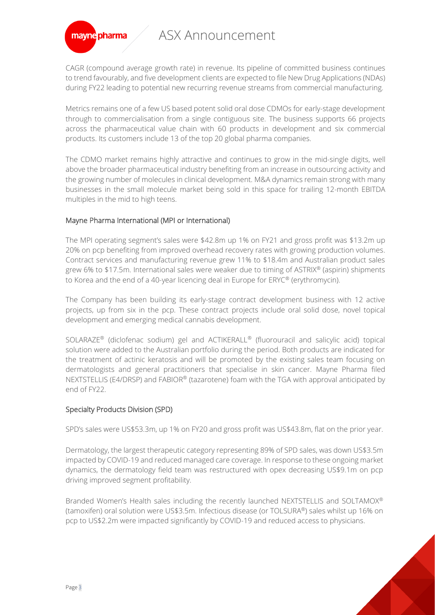

CAGR (compound average growth rate) in revenue. Its pipeline of committed business continues to trend favourably, and five development clients are expected to file New Drug Applications (NDAs) during FY22 leading to potential new recurring revenue streams from commercial manufacturing.

Metrics remains one of a few US based potent solid oral dose CDMOs for early-stage development through to commercialisation from a single contiguous site. The business supports 66 projects across the pharmaceutical value chain with 60 products in development and six commercial products. Its customers include 13 of the top 20 global pharma companies.

The CDMO market remains highly attractive and continues to grow in the mid-single digits, well above the broader pharmaceutical industry benefiting from an increase in outsourcing activity and the growing number of molecules in clinical development. M&A dynamics remain strong with many businesses in the small molecule market being sold in this space for trailing 12-month EBITDA multiples in the mid to high teens.

### Mayne Pharma International (MPI or International)

The MPI operating segment's sales were \$42.8m up 1% on FY21 and gross profit was \$13.2m up 20% on pcp benefiting from improved overhead recovery rates with growing production volumes. Contract services and manufacturing revenue grew 11% to \$18.4m and Australian product sales grew 6% to \$17.5m. International sales were weaker due to timing of ASTRIX® (aspirin) shipments to Korea and the end of a 40-year licencing deal in Europe for ERYC® (erythromycin).

The Company has been building its early-stage contract development business with 12 active projects, up from six in the pcp. These contract projects include oral solid dose, novel topical development and emerging medical cannabis development.

SOLARAZE® (diclofenac sodium) gel and ACTIKERALL® (fluorouracil and salicylic acid) topical solution were added to the Australian portfolio during the period. Both products are indicated for the treatment of actinic keratosis and will be promoted by the existing sales team focusing on dermatologists and general practitioners that specialise in skin cancer. Mayne Pharma filed NEXTSTELLIS (E4/DRSP) and FABIOR® (tazarotene) foam with the TGA with approval anticipated by end of FY22.

#### Specialty Products Division (SPD)

SPD's sales were US\$53.3m, up 1% on FY20 and gross profit was US\$43.8m, flat on the prior year.

Dermatology, the largest therapeutic category representing 89% of SPD sales, was down US\$3.5m impacted by COVID-19 and reduced managed care coverage. In response to these ongoing market dynamics, the dermatology field team was restructured with opex decreasing US\$9.1m on pcp driving improved segment profitability.

Branded Women's Health sales including the recently launched NEXTSTELLIS and SOLTAMOX® (tamoxifen) oral solution were US\$3.5m. Infectious disease (or TOLSURA®) sales whilst up 16% on pcp to US\$2.2m were impacted significantly by COVID-19 and reduced access to physicians.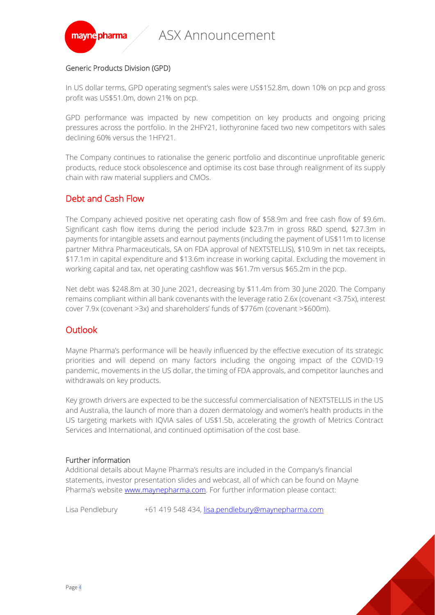

### Generic Products Division (GPD)

In US dollar terms, GPD operating segment's sales were US\$152.8m, down 10% on pcp and gross profit was US\$51.0m, down 21% on pcp.

GPD performance was impacted by new competition on key products and ongoing pricing pressures across the portfolio. In the 2HFY21, liothyronine faced two new competitors with sales declining 60% versus the 1HFY21.

The Company continues to rationalise the generic portfolio and discontinue unprofitable generic products, reduce stock obsolescence and optimise its cost base through realignment of its supply chain with raw material suppliers and CMOs.

## Debt and Cash Flow

The Company achieved positive net operating cash flow of \$58.9m and free cash flow of \$9.6m. Significant cash flow items during the period include \$23.7m in gross R&D spend, \$27.3m in payments for intangible assets and earnout payments (including the payment of US\$11m to license partner Mithra Pharmaceuticals, SA on FDA approval of NEXTSTELLIS), \$10.9m in net tax receipts, \$17.1m in capital expenditure and \$13.6m increase in working capital. Excluding the movement in working capital and tax, net operating cashflow was \$61.7m versus \$65.2m in the pcp.

Net debt was \$248.8m at 30 June 2021, decreasing by \$11.4m from 30 June 2020. The Company remains compliant within all bank covenants with the leverage ratio 2.6x (covenant <3.75x), interest cover 7.9x (covenant >3x) and shareholders' funds of \$776m (covenant >\$600m).

## **Outlook**

Mayne Pharma's performance will be heavily influenced by the effective execution of its strategic priorities and will depend on many factors including the ongoing impact of the COVID-19 pandemic, movements in the US dollar, the timing of FDA approvals, and competitor launches and withdrawals on key products.

Key growth drivers are expected to be the successful commercialisation of NEXTSTELLIS in the US and Australia, the launch of more than a dozen dermatology and women's health products in the US targeting markets with IQVIA sales of US\$1.5b, accelerating the growth of Metrics Contract Services and International, and continued optimisation of the cost base.

### Further information

Additional details about Mayne Pharma's results are included in the Company's financial statements, investor presentation slides and webcast, all of which can be found on Mayne Pharma's website [www.maynepharma.com.](http://www.maynepharma.com/) For further information please contact:

Lisa Pendlebury +61 419 548 434, [lisa.pendlebury@maynepharma.com](mailto:lisa.pendlebury@maynepharma.com)